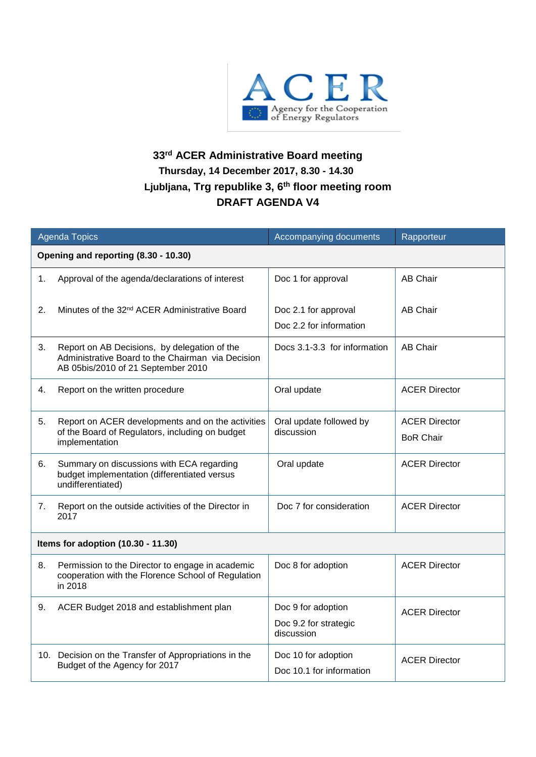

## **33 rd ACER Administrative Board meeting Thursday, 14 December 2017, 8.30 - 14.30 Ljubljana, Trg republike 3, 6 th floor meeting room DRAFT AGENDA V4**

| <b>Agenda Topics</b>                 |                                                                                                                                         | Accompanying documents                                    | Rapporteur                               |
|--------------------------------------|-----------------------------------------------------------------------------------------------------------------------------------------|-----------------------------------------------------------|------------------------------------------|
| Opening and reporting (8.30 - 10.30) |                                                                                                                                         |                                                           |                                          |
| 1.                                   | Approval of the agenda/declarations of interest                                                                                         | Doc 1 for approval                                        | <b>AB Chair</b>                          |
| 2.                                   | Minutes of the 32 <sup>nd</sup> ACER Administrative Board                                                                               | Doc 2.1 for approval<br>Doc 2.2 for information           | <b>AB Chair</b>                          |
| 3.                                   | Report on AB Decisions, by delegation of the<br>Administrative Board to the Chairman via Decision<br>AB 05bis/2010 of 21 September 2010 | Docs 3.1-3.3 for information                              | <b>AB Chair</b>                          |
| 4.                                   | Report on the written procedure                                                                                                         | Oral update                                               | <b>ACER Director</b>                     |
| 5.                                   | Report on ACER developments and on the activities<br>of the Board of Regulators, including on budget<br>implementation                  | Oral update followed by<br>discussion                     | <b>ACER Director</b><br><b>BoR Chair</b> |
| 6.                                   | Summary on discussions with ECA regarding<br>budget implementation (differentiated versus<br>undifferentiated)                          | Oral update                                               | <b>ACER Director</b>                     |
| 7.                                   | Report on the outside activities of the Director in<br>2017                                                                             | Doc 7 for consideration                                   | <b>ACER Director</b>                     |
| Items for adoption (10.30 - 11.30)   |                                                                                                                                         |                                                           |                                          |
| 8.                                   | Permission to the Director to engage in academic<br>cooperation with the Florence School of Regulation<br>in 2018                       | Doc 8 for adoption                                        | <b>ACER Director</b>                     |
| 9.                                   | ACER Budget 2018 and establishment plan                                                                                                 | Doc 9 for adoption<br>Doc 9.2 for strategic<br>discussion | <b>ACER Director</b>                     |
|                                      | 10. Decision on the Transfer of Appropriations in the<br>Budget of the Agency for 2017                                                  | Doc 10 for adoption<br>Doc 10.1 for information           | <b>ACER Director</b>                     |